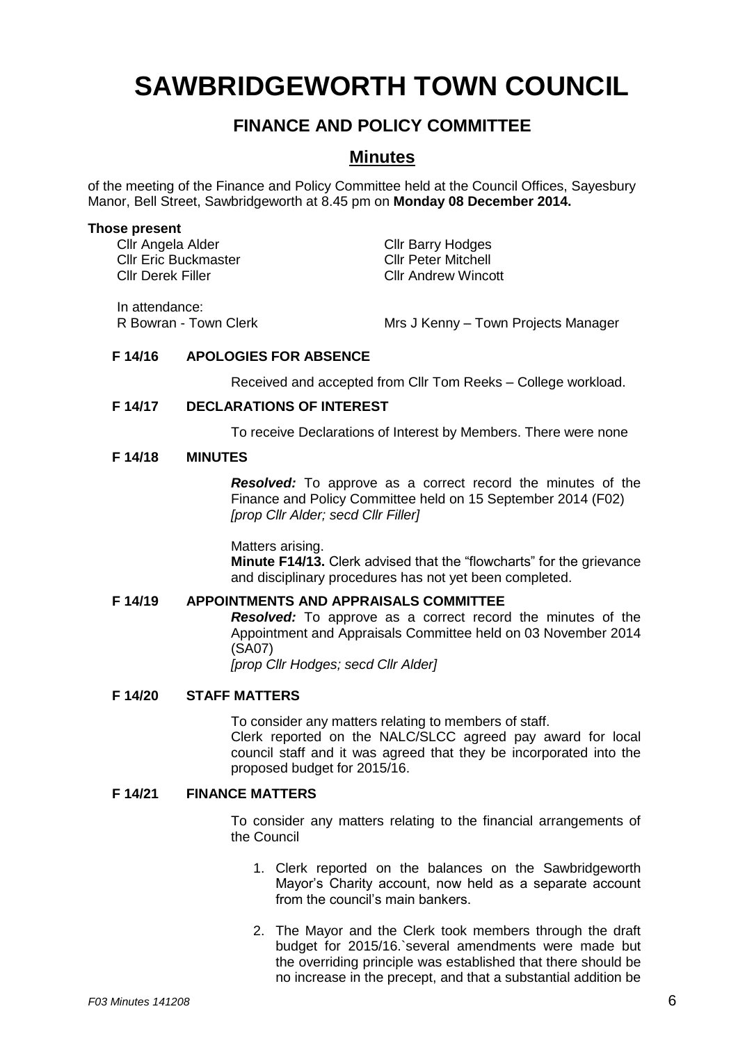# **SAWBRIDGEWORTH TOWN COUNCIL**

## **FINANCE AND POLICY COMMITTEE**

### **Minutes**

of the meeting of the Finance and Policy Committee held at the Council Offices, Sayesbury Manor, Bell Street, Sawbridgeworth at 8.45 pm on **Monday 08 December 2014.**

#### **Those present**

Cllr Angela Alder Cllr Barry Hodges<br>Cllr Eric Buckmaster Cllr Peter Mitchell Cllr Eric Buckmaster Cllr Derek Filler Cllr Andrew Wincott

In attendance:

R Bowran - Town Clerk Mrs J Kenny – Town Projects Manager

#### **F 14/16 APOLOGIES FOR ABSENCE**

Received and accepted from Cllr Tom Reeks – College workload.

#### **F 14/17 DECLARATIONS OF INTEREST**

To receive Declarations of Interest by Members. There were none

#### **F 14/18 MINUTES**

*Resolved:* To approve as a correct record the minutes of the Finance and Policy Committee held on 15 September 2014 (F02) *[prop Cllr Alder; secd Cllr Filler]*

Matters arising. **Minute F14/13.** Clerk advised that the "flowcharts" for the grievance and disciplinary procedures has not yet been completed.

#### **F 14/19 APPOINTMENTS AND APPRAISALS COMMITTEE**

*Resolved:* To approve as a correct record the minutes of the Appointment and Appraisals Committee held on 03 November 2014 (SA07)

*[prop Cllr Hodges; secd Cllr Alder]*

#### **F 14/20 STAFF MATTERS**

To consider any matters relating to members of staff. Clerk reported on the NALC/SLCC agreed pay award for local council staff and it was agreed that they be incorporated into the proposed budget for 2015/16.

#### **F 14/21 FINANCE MATTERS**

To consider any matters relating to the financial arrangements of the Council

- 1. Clerk reported on the balances on the Sawbridgeworth Mayor's Charity account, now held as a separate account from the council's main bankers.
- 2. The Mayor and the Clerk took members through the draft budget for 2015/16.`several amendments were made but the overriding principle was established that there should be no increase in the precept, and that a substantial addition be